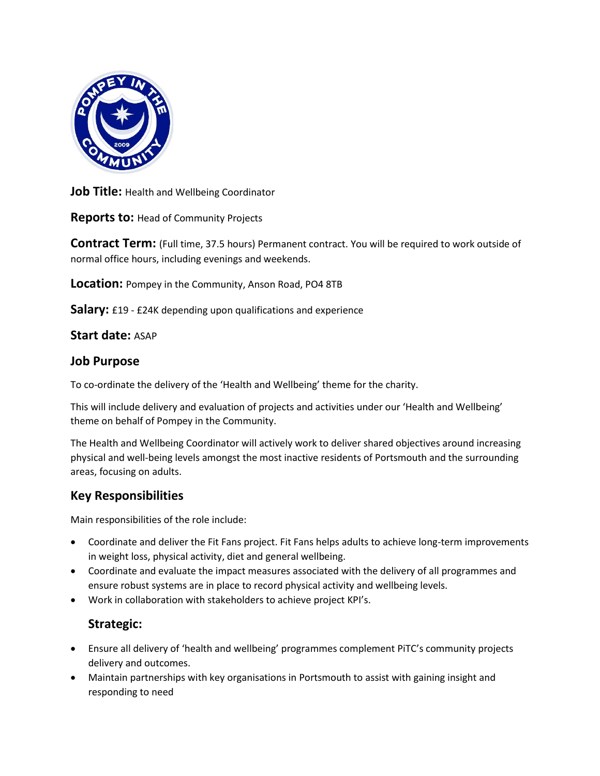

**Job Title: Health and Wellbeing Coordinator** 

**Reports to:** Head of Community Projects

**Contract Term:** (Full time, 37.5 hours) Permanent contract. You will be required to work outside of normal office hours, including evenings and weekends.

**Location:** Pompey in the Community, Anson Road, PO4 8TB

**Salary:** £19 - £24K depending upon qualifications and experience

#### **Start date:** ASAP

#### **Job Purpose**

To co-ordinate the delivery of the 'Health and Wellbeing' theme for the charity.

This will include delivery and evaluation of projects and activities under our 'Health and Wellbeing' theme on behalf of Pompey in the Community.

The Health and Wellbeing Coordinator will actively work to deliver shared objectives around increasing physical and well-being levels amongst the most inactive residents of Portsmouth and the surrounding areas, focusing on adults.

## **Key Responsibilities**

Main responsibilities of the role include:

- Coordinate and deliver the Fit Fans project. Fit Fans helps adults to achieve long-term improvements in weight loss, physical activity, diet and general wellbeing.
- Coordinate and evaluate the impact measures associated with the delivery of all programmes and ensure robust systems are in place to record physical activity and wellbeing levels.
- Work in collaboration with stakeholders to achieve project KPI's.

# **Strategic:**

- Ensure all delivery of 'health and wellbeing' programmes complement PiTC's community projects delivery and outcomes.
- Maintain partnerships with key organisations in Portsmouth to assist with gaining insight and responding to need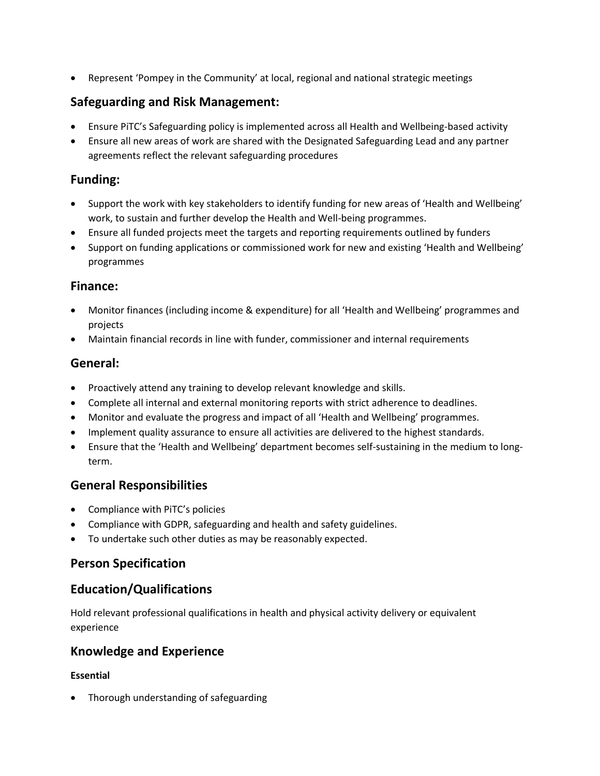• Represent 'Pompey in the Community' at local, regional and national strategic meetings

# **Safeguarding and Risk Management:**

- Ensure PiTC's Safeguarding policy is implemented across all Health and Wellbeing-based activity
- Ensure all new areas of work are shared with the Designated Safeguarding Lead and any partner agreements reflect the relevant safeguarding procedures

## **Funding:**

- Support the work with key stakeholders to identify funding for new areas of 'Health and Wellbeing' work, to sustain and further develop the Health and Well-being programmes.
- Ensure all funded projects meet the targets and reporting requirements outlined by funders
- Support on funding applications or commissioned work for new and existing 'Health and Wellbeing' programmes

#### **Finance:**

- Monitor finances (including income & expenditure) for all 'Health and Wellbeing' programmes and projects
- Maintain financial records in line with funder, commissioner and internal requirements

## **General:**

- Proactively attend any training to develop relevant knowledge and skills.
- Complete all internal and external monitoring reports with strict adherence to deadlines.
- Monitor and evaluate the progress and impact of all 'Health and Wellbeing' programmes.
- Implement quality assurance to ensure all activities are delivered to the highest standards.
- Ensure that the 'Health and Wellbeing' department becomes self-sustaining in the medium to longterm.

## **General Responsibilities**

- Compliance with PiTC's policies
- Compliance with GDPR, safeguarding and health and safety guidelines.
- To undertake such other duties as may be reasonably expected.

## **Person Specification**

# **Education/Qualifications**

Hold relevant professional qualifications in health and physical activity delivery or equivalent experience

# **Knowledge and Experience**

#### **Essential**

• Thorough understanding of safeguarding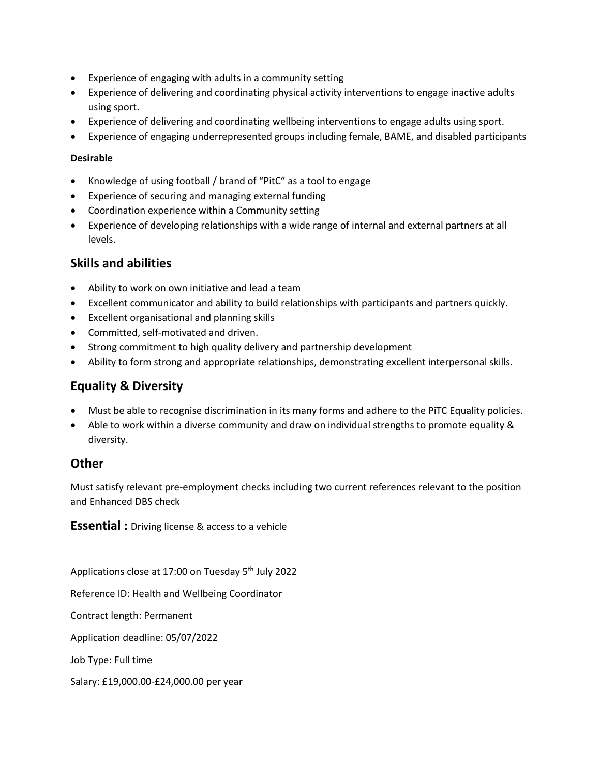- Experience of engaging with adults in a community setting
- Experience of delivering and coordinating physical activity interventions to engage inactive adults using sport.
- Experience of delivering and coordinating wellbeing interventions to engage adults using sport.
- Experience of engaging underrepresented groups including female, BAME, and disabled participants

#### **Desirable**

- Knowledge of using football / brand of "PitC" as a tool to engage
- Experience of securing and managing external funding
- Coordination experience within a Community setting
- Experience of developing relationships with a wide range of internal and external partners at all levels.

## **Skills and abilities**

- Ability to work on own initiative and lead a team
- Excellent communicator and ability to build relationships with participants and partners quickly.
- Excellent organisational and planning skills
- Committed, self-motivated and driven.
- Strong commitment to high quality delivery and partnership development
- Ability to form strong and appropriate relationships, demonstrating excellent interpersonal skills.

# **Equality & Diversity**

- Must be able to recognise discrimination in its many forms and adhere to the PiTC Equality policies.
- Able to work within a diverse community and draw on individual strengths to promote equality & diversity.

## **Other**

Must satisfy relevant pre-employment checks including two current references relevant to the position and Enhanced DBS check

**Essential :** Driving license & access to a vehicle

Applications close at 17:00 on Tuesday 5<sup>th</sup> July 2022

Reference ID: Health and Wellbeing Coordinator

Contract length: Permanent

Application deadline: 05/07/2022

Job Type: Full time

Salary: £19,000.00-£24,000.00 per year